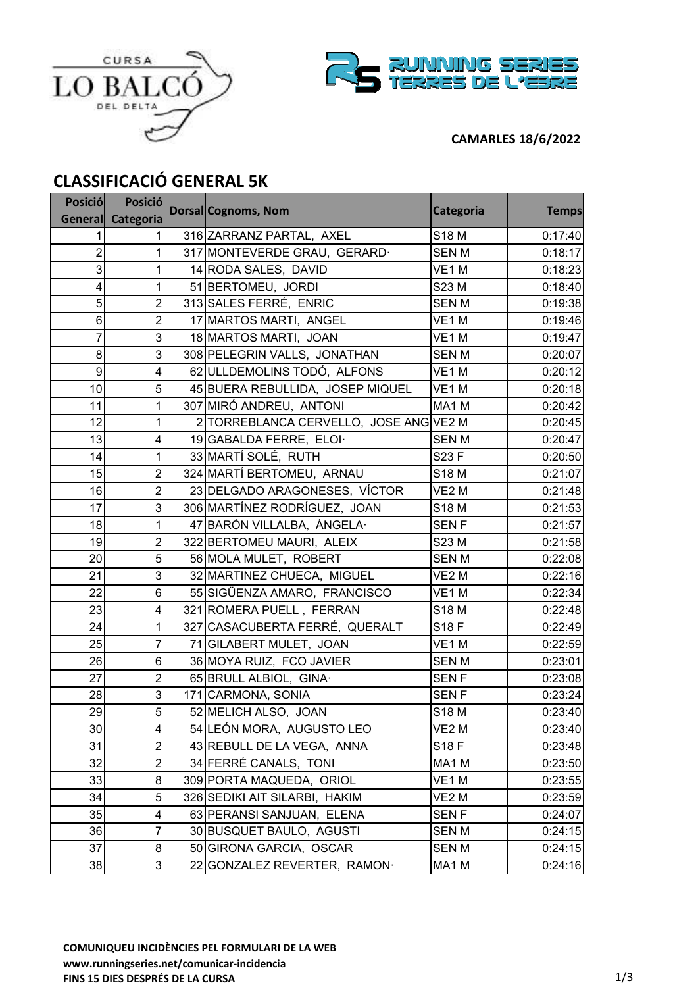



### **CAMARLES 18/6/2022**

# **CLASSIFICACIÓ GENERAL 5K**

| <b>Posició</b>  | <b>Posició</b> | Dorsal Cognoms, Nom                    | Categoria         | <b>Temps</b> |
|-----------------|----------------|----------------------------------------|-------------------|--------------|
| <b>General</b>  | Categoria      |                                        |                   |              |
| 1               |                | 316 ZARRANZ PARTAL, AXEL               | S18 M             | 0:17:40      |
| $\overline{2}$  |                | 317 MONTEVERDE GRAU, GERARD.           | <b>SENM</b>       | 0:18:17      |
| 3               |                | 14 RODA SALES, DAVID                   | VE1M              | 0:18:23      |
| 4               |                | 51 BERTOMEU, JORDI                     | S23 M             | 0:18:40      |
| 5               | $\overline{c}$ | 313 SALES FERRÉ, ENRIC                 | <b>SENM</b>       | 0:19:38      |
| 6               | $\overline{c}$ | 17 MARTOS MARTI, ANGEL                 | VE1M              | 0:19:46      |
| $\overline{7}$  | 3              | 18 MARTOS MARTI, JOAN                  | VE1M              | 0:19:47      |
| 8               | 3              | 308 PELEGRIN VALLS, JONATHAN           | <b>SENM</b>       | 0:20:07      |
| 9               | 4              | 62 ULLDEMOLINS TODÓ, ALFONS            | VE1M              | 0:20:12      |
| 10 <sup>1</sup> | 5              | 45 BUERA REBULLIDA, JOSEP MIQUEL       | VE <sub>1</sub> M | 0:20:18      |
| 11              | 1              | 307 MIRÓ ANDREU, ANTONI                | MA1 M             | 0:20:42      |
| 12              | 1              | 2 TORREBLANCA CERVELLÓ, JOSE ANG VE2 M |                   | 0:20:45      |
| 13              | 4              | 19 GABALDA FERRE, ELOI·                | <b>SENM</b>       | 0:20:47      |
| 14              | 1              | 33 MARTÍ SOLÉ, RUTH                    | S23 F             | 0:20:50      |
| 15              | $\overline{2}$ | 324 MARTÍ BERTOMEU, ARNAU              | S18 M             | 0:21:07      |
| 16              | $\overline{2}$ | 23 DELGADO ARAGONESES, VÍCTOR          | VE <sub>2</sub> M | 0:21:48      |
| 17              | 3              | 306 MARTÍNEZ RODRÍGUEZ, JOAN           | S18 M             | 0:21:53      |
| 18              | 1              | 47 BARÓN VILLALBA, ÀNGELA·             | <b>SENF</b>       | 0:21:57      |
| 19              | $\overline{2}$ | 322 BERTOMEU MAURI, ALEIX              | S23 M             | 0:21:58      |
| 20              | 5              | 56 MOLA MULET, ROBERT                  | <b>SENM</b>       | 0:22:08      |
| 21              | 3              | 32 MARTINEZ CHUECA, MIGUEL             | VE2 M             | 0:22:16      |
| 22              | 6              | 55 SIGÜENZA AMARO, FRANCISCO           | VE1M              | 0:22:34      |
| 23              | 4              | 321 ROMERA PUELL, FERRAN               | S18 M             | 0:22:48      |
| 24              | 1              | 327 CASACUBERTA FERRÉ, QUERALT         | S18 F             | 0:22:49      |
| 25              | 7              | 71 GILABERT MULET, JOAN                | VE1M              | 0:22:59      |
| 26              | 6              | 36 MOYA RUIZ, FCO JAVIER               | <b>SENM</b>       | 0:23:01      |
| 27              | $\overline{c}$ | 65 BRULL ALBIOL, GINA.                 | <b>SENF</b>       | 0:23:08      |
| 28              | 3              | 171 CARMONA, SONIA                     | <b>SENF</b>       | 0:23:24      |
| 29              | 5              | 52 MELICH ALSO, JOAN                   | S18 M             | 0:23:40      |
| 30              | 4              | 54 LEÓN MORA, AUGUSTO LEO              | VE2 M             | 0:23:40      |
| 31              | $\overline{2}$ | 43 REBULL DE LA VEGA, ANNA             | S18 F             | 0:23:48      |
| 32              | $\overline{c}$ | 34 FERRÉ CANALS, TONI                  | MA1 M             | 0:23:50      |
| 33              | 8              | 309 PORTA MAQUEDA, ORIOL               | VE1 M             | 0:23:55      |
| 34              | 5              | 326 SEDIKI AIT SILARBI, HAKIM          | VE <sub>2</sub> M | 0:23:59      |
| 35              | 4              | 63 PERANSI SANJUAN, ELENA              | <b>SENF</b>       | 0:24:07      |
| 36              | 7              | 30 BUSQUET BAULO, AGUSTI               | <b>SENM</b>       | 0:24:15      |
| 37              | 8              | 50 GIRONA GARCIA, OSCAR                | <b>SENM</b>       | 0:24:15      |
| 38              | 3              | 22 GONZALEZ REVERTER, RAMON·           | MA1 M             | 0:24:16      |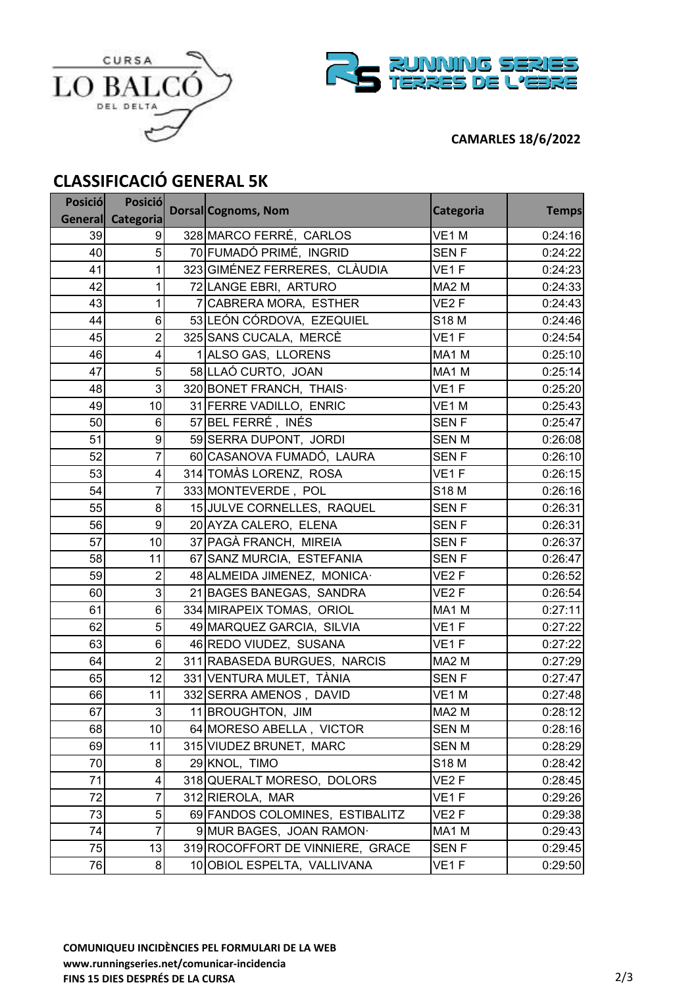



### **CAMARLES 18/6/2022**

# **CLASSIFICACIÓ GENERAL 5K**

| <b>Posició</b> | <b>Posició</b>    | <b>Dorsal Cognoms, Nom</b>       | Categoria         | <b>Temps</b> |
|----------------|-------------------|----------------------------------|-------------------|--------------|
|                | General Categoria |                                  |                   |              |
| 39             | 9                 | 328 MARCO FERRÉ, CARLOS          | VE1M              | 0:24:16      |
| 40             | 5                 | 70 FUMADÓ PRIMÉ, INGRID          | <b>SENF</b>       | 0:24:22      |
| 41             | 1                 | 323 GIMÉNEZ FERRERES, CLÀUDIA    | VE1F              | 0:24:23      |
| 42             | 1                 | 72 LANGE EBRI, ARTURO            | MA <sub>2</sub> M | 0:24:33      |
| 43             | 1                 | 7 CABRERA MORA, ESTHER           | VE <sub>2</sub> F | 0:24:43      |
| 44             | $6\phantom{a}$    | 53 LEÓN CÓRDOVA, EZEQUIEL        | S18 M             | 0:24:46      |
| 45             | $\overline{c}$    | 325 SANS CUCALA, MERCÈ           | VE <sub>1</sub> F | 0:24:54      |
| 46             | 4                 | 1 ALSO GAS, LLORENS              | MA1 M             | 0:25:10      |
| 47             | 5                 | 58 LLAÓ CURTO, JOAN              | MA1 M             | 0:25:14      |
| 48             | 3                 | 320 BONET FRANCH, THAIS.         | VE <sub>1</sub> F | 0:25:20      |
| 49             | 10                | 31 FERRE VADILLO, ENRIC          | VE1M              | 0:25:43      |
| 50             | 6                 | 57 BEL FERRÉ, INÉS               | <b>SENF</b>       | 0:25:47      |
| 51             | 9                 | 59 SERRA DUPONT, JORDI           | <b>SENM</b>       | 0:26:08      |
| 52             | 7                 | 60 CASANOVA FUMADÓ, LAURA        | <b>SENF</b>       | 0:26:10      |
| 53             | 4                 | 314 TOMÀS LORENZ, ROSA           | VE <sub>1</sub> F | 0:26:15      |
| 54             | $\overline{7}$    | 333 MONTEVERDE, POL              | S18 M             | 0:26:16      |
| 55             | 8                 | 15 JULVE CORNELLES, RAQUEL       | <b>SENF</b>       | 0:26:31      |
| 56             | 9                 | 20 AYZA CALERO, ELENA            | <b>SENF</b>       | 0:26:31      |
| 57             | 10                | 37 PAGÀ FRANCH, MIREIA           | SEN <sub>F</sub>  | 0:26:37      |
| 58             | 11                | 67 SANZ MURCIA, ESTEFANIA        | <b>SENF</b>       | 0:26:47      |
| 59             | $\overline{c}$    | 48 ALMEIDA JIMENEZ, MONICA-      | VE <sub>2</sub> F | 0:26:52      |
| 60             | 3                 | 21 BAGES BANEGAS, SANDRA         | VE <sub>2</sub> F | 0:26:54      |
| 61             | $\,6$             | 334 MIRAPEIX TOMAS, ORIOL        | MA1 M             | 0:27:11      |
| 62             | 5                 | 49 MARQUEZ GARCIA, SILVIA        | VE <sub>1</sub> F | 0:27:22      |
| 63             | $6\phantom{a}$    | 46 REDO VIUDEZ, SUSANA           | VE <sub>1</sub> F | 0:27:22      |
| 64             | $\overline{c}$    | 311 RABASEDA BURGUES, NARCIS     | MA <sub>2</sub> M | 0:27:29      |
| 65             | 12                | 331 VENTURA MULET, TÀNIA         | <b>SENF</b>       | 0:27:47      |
| 66             | 11                | 332 SERRA AMENOS, DAVID          | VE1M              | 0:27:48      |
| 67             | 3                 | 11 BROUGHTON, JIM                | MA <sub>2</sub> M | 0:28:12      |
| 68             | 10 <sub>1</sub>   | 64 MORESO ABELLA, VICTOR         | <b>SENM</b>       | 0:28:16      |
| 69             | 11                | 315 VIUDEZ BRUNET, MARC          | <b>SENM</b>       | 0:28:29      |
| 70             | 8                 | 29 KNOL, TIMO                    | S18 M             | 0:28:42      |
| 71             | 4                 | 318 QUERALT MORESO, DOLORS       | VE2 F             | 0:28:45      |
| 72             | 7                 | 312 RIEROLA, MAR                 | VE <sub>1</sub> F | 0:29:26      |
| 73             | 5                 | 69 FANDOS COLOMINES, ESTIBALITZ  | VE2F              | 0:29:38      |
| 74             | $\overline{7}$    | 9 MUR BAGES, JOAN RAMON·         | MA1 M             | 0:29:43      |
| 75             | 13                | 319 ROCOFFORT DE VINNIERE, GRACE | <b>SENF</b>       | 0:29:45      |
| 76             | 8 <sup>1</sup>    | 10 OBIOL ESPELTA, VALLIVANA      | VE1F              | 0:29:50      |